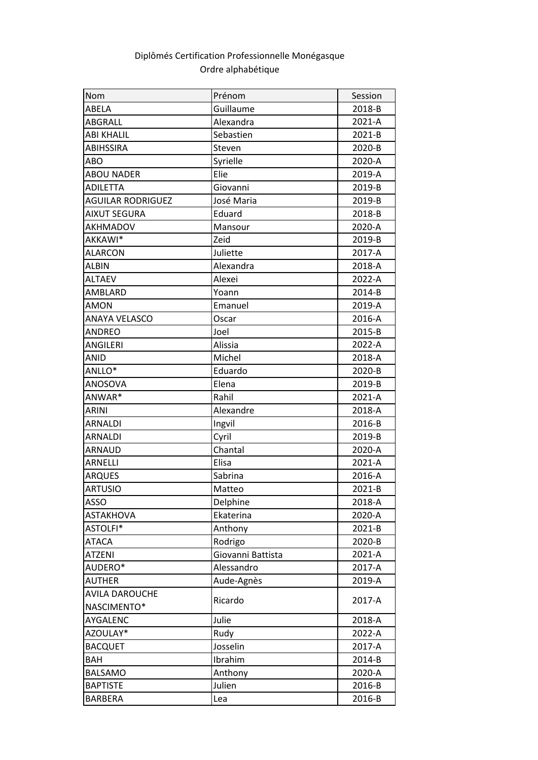## Ordre alphabétique Diplômés Certification Professionnelle Monégasque

| Nom                      | Prénom            | Session    |
|--------------------------|-------------------|------------|
| ABELA                    | Guillaume         | 2018-B     |
| ABGRALL                  | Alexandra         | 2021-A     |
| <b>ABI KHALIL</b>        | Sebastien         | $2021 - B$ |
| <b>ABIHSSIRA</b>         | Steven            | 2020-B     |
| ABO                      | Syrielle          | 2020-A     |
| <b>ABOU NADER</b>        | Elie              | 2019-A     |
| <b>ADILETTA</b>          | Giovanni          | 2019-B     |
| <b>AGUILAR RODRIGUEZ</b> | José Maria        | 2019-B     |
| <b>AIXUT SEGURA</b>      | Eduard            | 2018-B     |
| <b>AKHMADOV</b>          | Mansour           | 2020-A     |
| AKKAWI*                  | Zeid              | 2019-B     |
| <b>ALARCON</b>           | Juliette          | 2017-A     |
| <b>ALBIN</b>             | Alexandra         | 2018-A     |
| <b>ALTAEV</b>            | Alexei            | 2022-A     |
| AMBLARD                  | Yoann             | 2014-B     |
| <b>AMON</b>              | Emanuel           | 2019-A     |
| <b>ANAYA VELASCO</b>     | Oscar             | 2016-A     |
| <b>ANDREO</b>            | Joel              | 2015-B     |
| <b>ANGILERI</b>          | Alissia           | 2022-A     |
| <b>ANID</b>              | Michel            | 2018-A     |
| ANLLO*                   | Eduardo           | 2020-B     |
| ANOSOVA                  | Elena             | 2019-B     |
| ANWAR*                   | Rahil             | 2021-A     |
| <b>ARINI</b>             | Alexandre         | 2018-A     |
| <b>ARNALDI</b>           | Ingvil            | 2016-B     |
| <b>ARNALDI</b>           | Cyril             | 2019-B     |
| <b>ARNAUD</b>            | Chantal           | 2020-A     |
| ARNELLI                  | Elisa             | 2021-A     |
| <b>ARQUES</b>            | Sabrina           | 2016-A     |
| <b>ARTUSIO</b>           | Matteo            | 2021-B     |
| <b>ASSO</b>              | Delphine          | 2018-A     |
| <b>ASTAKHOVA</b>         | Ekaterina         | 2020-A     |
| ASTOLFI*                 | Anthony           | 2021-B     |
| <b>ATACA</b>             | Rodrigo           | 2020-B     |
| <b>ATZENI</b>            | Giovanni Battista | 2021-A     |
| AUDERO*                  | Alessandro        | 2017-A     |
| <b>AUTHER</b>            | Aude-Agnès        | 2019-A     |
| <b>AVILA DAROUCHE</b>    | Ricardo           | 2017-A     |
| NASCIMENTO*              |                   |            |
| AYGALENC                 | Julie             | 2018-A     |
| AZOULAY*                 | Rudy              | 2022-A     |
| <b>BACQUET</b>           | Josselin          | 2017-A     |
| <b>BAH</b>               | Ibrahim           | 2014-B     |
| <b>BALSAMO</b>           | Anthony           | 2020-A     |
| <b>BAPTISTE</b>          | Julien            | 2016-B     |
| <b>BARBERA</b>           | Lea               | 2016-B     |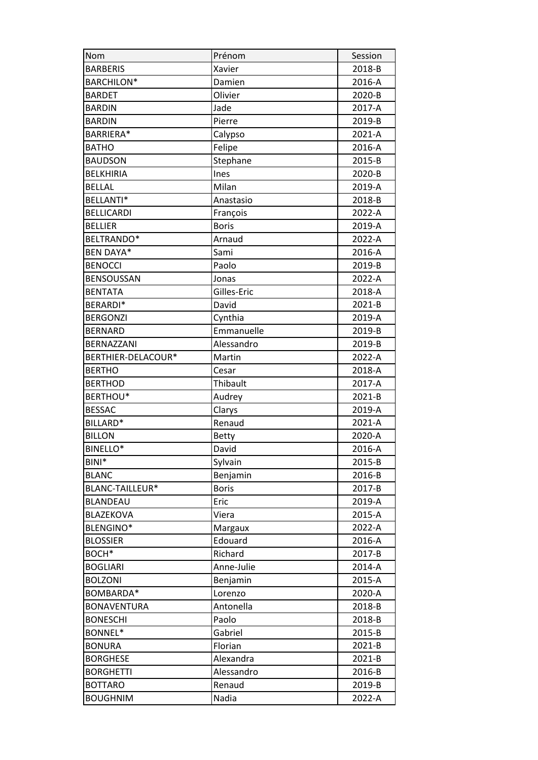| Nom                | Prénom       | Session    |
|--------------------|--------------|------------|
| <b>BARBERIS</b>    | Xavier       | 2018-B     |
| <b>BARCHILON*</b>  | Damien       | 2016-A     |
| <b>BARDET</b>      | Olivier      | 2020-B     |
| <b>BARDIN</b>      | Jade         | 2017-A     |
| <b>BARDIN</b>      | Pierre       | 2019-B     |
| BARRIERA*          | Calypso      | 2021-A     |
| <b>BATHO</b>       | Felipe       | 2016-A     |
| <b>BAUDSON</b>     | Stephane     | 2015-B     |
| <b>BELKHIRIA</b>   | Ines         | 2020-B     |
| <b>BELLAL</b>      | Milan        | 2019-A     |
| BELLANTI*          | Anastasio    | 2018-B     |
| <b>BELLICARDI</b>  | François     | 2022-A     |
| <b>BELLIER</b>     | <b>Boris</b> | 2019-A     |
| BELTRANDO*         | Arnaud       | 2022-A     |
| <b>BEN DAYA*</b>   | Sami         | 2016-A     |
| <b>BENOCCI</b>     | Paolo        | 2019-B     |
| BENSOUSSAN         | Jonas        | 2022-A     |
| <b>BENTATA</b>     | Gilles-Eric  | 2018-A     |
| BERARDI*           | David        | $2021 - B$ |
| <b>BERGONZI</b>    | Cynthia      | 2019-A     |
| <b>BERNARD</b>     | Emmanuelle   | 2019-B     |
| BERNAZZANI         | Alessandro   | 2019-B     |
| BERTHIER-DELACOUR* | Martin       | 2022-A     |
| <b>BERTHO</b>      | Cesar        | 2018-A     |
| <b>BERTHOD</b>     | Thibault     | 2017-A     |
| BERTHOU*           | Audrey       | 2021-B     |
| <b>BESSAC</b>      | Clarys       | 2019-A     |
| BILLARD*           | Renaud       | 2021-A     |
| <b>BILLON</b>      | <b>Betty</b> | 2020-A     |
| <b>BINELLO*</b>    | David        | 2016-A     |
| BINI*              | Sylvain      | 2015-B     |
| <b>BLANC</b>       | Benjamin     | 2016-B     |
| BLANC-TAILLEUR*    | <b>Boris</b> | 2017-B     |
| <b>BLANDEAU</b>    | Eric         | 2019-A     |
| BLAZEKOVA          | Viera        | 2015-A     |
| BLENGINO*          | Margaux      | 2022-A     |
| <b>BLOSSIER</b>    | Edouard      | 2016-A     |
| BOCH*              | Richard      | 2017-B     |
| <b>BOGLIARI</b>    | Anne-Julie   | 2014-A     |
| <b>BOLZONI</b>     | Benjamin     | 2015-A     |
| BOMBARDA*          | Lorenzo      | 2020-A     |
| <b>BONAVENTURA</b> | Antonella    | 2018-B     |
| <b>BONESCHI</b>    | Paolo        | 2018-B     |
| BONNEL*            | Gabriel      | 2015-B     |
| <b>BONURA</b>      | Florian      | 2021-B     |
| <b>BORGHESE</b>    | Alexandra    | 2021-B     |
| <b>BORGHETTI</b>   | Alessandro   | 2016-B     |
| <b>BOTTARO</b>     | Renaud       | 2019-B     |
| <b>BOUGHNIM</b>    | Nadia        | 2022-A     |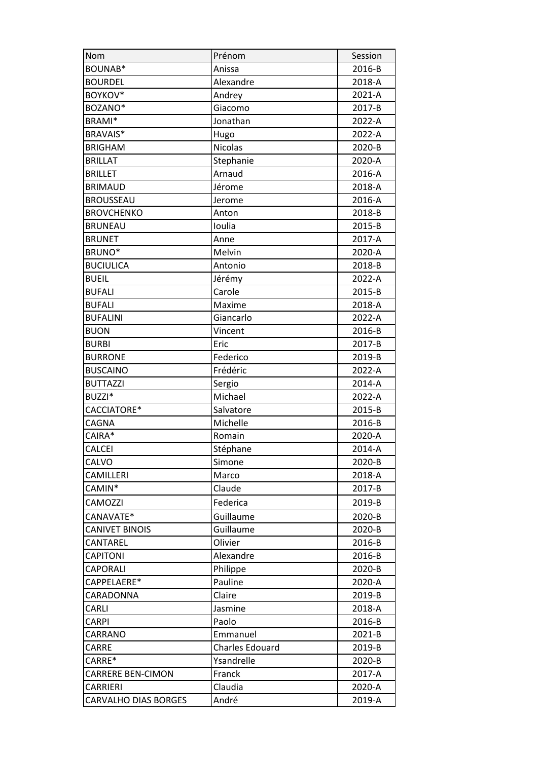| Nom                         | Prénom                 | Session    |
|-----------------------------|------------------------|------------|
| BOUNAB*                     | Anissa                 | 2016-B     |
| <b>BOURDEL</b>              | Alexandre              | 2018-A     |
| BOYKOV*                     | Andrey                 | 2021-A     |
| BOZANO*                     | Giacomo                | 2017-B     |
| BRAMI*                      | Jonathan               | 2022-A     |
| BRAVAIS*                    | Hugo                   | 2022-A     |
| <b>BRIGHAM</b>              | Nicolas                | 2020-B     |
| <b>BRILLAT</b>              | Stephanie              | 2020-A     |
| <b>BRILLET</b>              | Arnaud                 | 2016-A     |
| <b>BRIMAUD</b>              | Jérome                 | 2018-A     |
| <b>BROUSSEAU</b>            | Jerome                 | 2016-A     |
| <b>BROVCHENKO</b>           | Anton                  | 2018-B     |
| <b>BRUNEAU</b>              | Ioulia                 | 2015-B     |
| <b>BRUNET</b>               | Anne                   | 2017-A     |
| BRUNO*                      | Melvin                 | 2020-A     |
| <b>BUCIULICA</b>            | Antonio                | 2018-B     |
| <b>BUEIL</b>                | Jérémy                 | 2022-A     |
| <b>BUFALI</b>               | Carole                 | 2015-B     |
| <b>BUFALI</b>               | Maxime                 | 2018-A     |
| <b>BUFALINI</b>             | Giancarlo              | 2022-A     |
| <b>BUON</b>                 | Vincent                | 2016-B     |
| <b>BURBI</b>                | Eric                   | 2017-B     |
| <b>BURRONE</b>              | Federico               | 2019-B     |
| <b>BUSCAINO</b>             | Frédéric               | 2022-A     |
| <b>BUTTAZZI</b>             | Sergio                 | 2014-A     |
| BUZZI*                      | Michael                | 2022-A     |
| CACCIATORE*                 | Salvatore              | 2015-B     |
| CAGNA                       | Michelle               | 2016-B     |
| CAIRA*                      | Romain                 | 2020-A     |
| <b>CALCEI</b>               | Stéphane               | 2014-A     |
| CALVO                       | Simone                 | 2020-B     |
| CAMILLERI                   | Marco                  | 2018-A     |
| CAMIN*                      | Claude                 | 2017-B     |
| CAMOZZI                     | Federica               | 2019-B     |
| CANAVATE*                   | Guillaume              | 2020-B     |
| <b>CANIVET BINOIS</b>       | Guillaume              | 2020-B     |
| CANTAREL                    | Olivier                | 2016-B     |
| <b>CAPITONI</b>             | Alexandre              | 2016-B     |
| <b>CAPORALI</b>             | Philippe               | 2020-B     |
| CAPPELAERE*                 | Pauline                | 2020-A     |
| CARADONNA                   | Claire                 | 2019-B     |
| CARLI                       | Jasmine                | 2018-A     |
| CARPI                       | Paolo                  | 2016-B     |
| CARRANO                     | Emmanuel               | $2021 - B$ |
| CARRE                       | <b>Charles Edouard</b> | 2019-B     |
| CARRE*                      | Ysandrelle             | 2020-B     |
| <b>CARRERE BEN-CIMON</b>    | Franck                 | 2017-A     |
| CARRIERI                    | Claudia                | 2020-A     |
| <b>CARVALHO DIAS BORGES</b> | André                  | 2019-A     |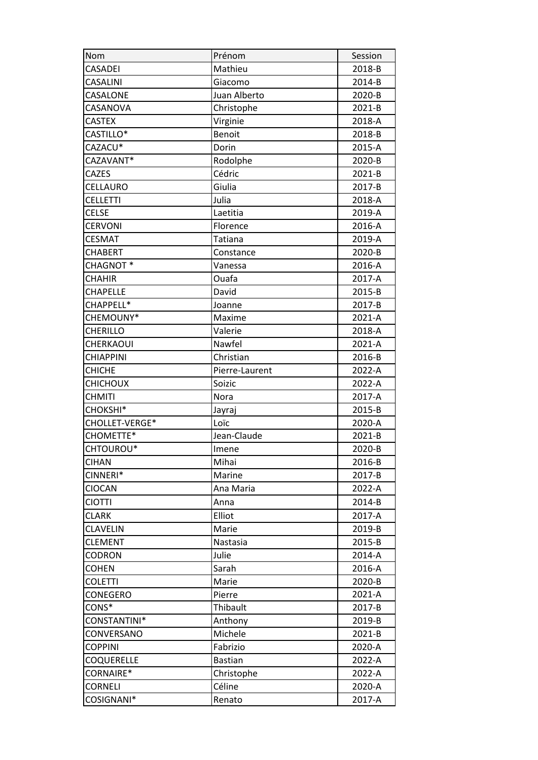| Nom               | Prénom          | Session |
|-------------------|-----------------|---------|
| <b>CASADEI</b>    | Mathieu         | 2018-B  |
| CASALINI          | Giacomo         | 2014-B  |
| CASALONE          | Juan Alberto    | 2020-B  |
| CASANOVA          | Christophe      | 2021-B  |
| <b>CASTEX</b>     | Virginie        | 2018-A  |
| CASTILLO*         | <b>Benoit</b>   | 2018-B  |
| CAZACU*           | Dorin           | 2015-A  |
| CAZAVANT*         | Rodolphe        | 2020-B  |
| <b>CAZES</b>      | Cédric          | 2021-B  |
| CELLAURO          | Giulia          | 2017-B  |
| <b>CELLETTI</b>   | Julia           | 2018-A  |
| <b>CELSE</b>      | Laetitia        | 2019-A  |
| <b>CERVONI</b>    | Florence        | 2016-A  |
| <b>CESMAT</b>     | Tatiana         | 2019-A  |
| <b>CHABERT</b>    | Constance       | 2020-B  |
| CHAGNOT*          | Vanessa         | 2016-A  |
| <b>CHAHIR</b>     | Ouafa           | 2017-A  |
| <b>CHAPELLE</b>   | David           | 2015-B  |
| CHAPPELL*         | Joanne          | 2017-B  |
| CHEMOUNY*         | Maxime          | 2021-A  |
| <b>CHERILLO</b>   | Valerie         | 2018-A  |
| CHERKAOUI         | Nawfel          | 2021-A  |
| CHIAPPINI         | Christian       | 2016-B  |
| <b>CHICHE</b>     | Pierre-Laurent  | 2022-A  |
| <b>CHICHOUX</b>   | Soizic          | 2022-A  |
| <b>CHMITI</b>     | Nora            | 2017-A  |
| CHOKSHI*          | Jayraj          | 2015-B  |
| CHOLLET-VERGE*    | Loïc            | 2020-A  |
| CHOMETTE*         | Jean-Claude     | 2021-B  |
| CHTOUROU*         | Imene           | 2020-B  |
| <b>CIHAN</b>      | Mihai           | 2016-B  |
| CINNERI*          | Marine          | 2017-B  |
| <b>CIOCAN</b>     | Ana Maria       | 2022-A  |
| <b>CIOTTI</b>     | Anna            | 2014-B  |
| <b>CLARK</b>      | Elliot          | 2017-A  |
| <b>CLAVELIN</b>   | Marie           | 2019-B  |
| <b>CLEMENT</b>    | <b>Nastasia</b> | 2015-B  |
| <b>CODRON</b>     | Julie           | 2014-A  |
| <b>COHEN</b>      | Sarah           | 2016-A  |
| <b>COLETTI</b>    | Marie           | 2020-B  |
| CONEGERO          | Pierre          | 2021-A  |
| CONS*             | Thibault        | 2017-B  |
| CONSTANTINI*      | Anthony         | 2019-B  |
| CONVERSANO        | Michele         | 2021-B  |
| <b>COPPINI</b>    | Fabrizio        | 2020-A  |
| <b>COQUERELLE</b> | <b>Bastian</b>  | 2022-A  |
| CORNAIRE*         | Christophe      | 2022-A  |
| <b>CORNELI</b>    | Céline          | 2020-A  |
| COSIGNANI*        | Renato          | 2017-A  |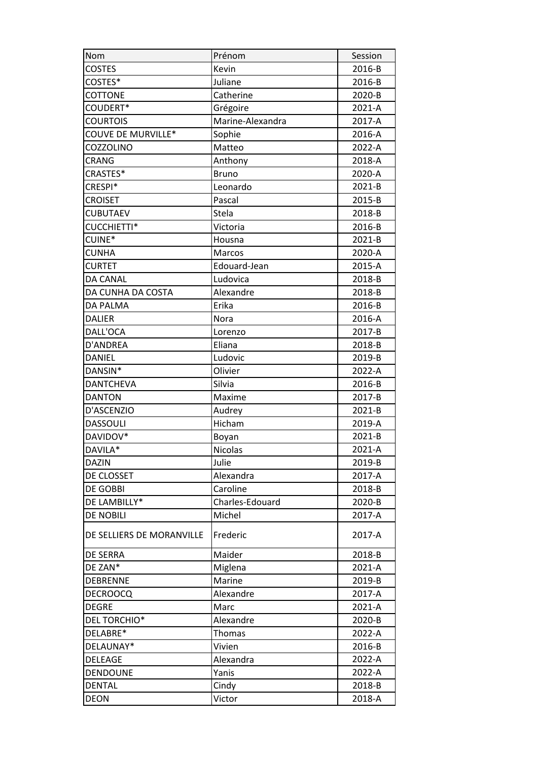| Nom                       | Prénom           | Session |
|---------------------------|------------------|---------|
| <b>COSTES</b>             | Kevin            | 2016-B  |
| COSTES*                   | Juliane          | 2016-B  |
| <b>COTTONE</b>            | Catherine        | 2020-B  |
| COUDERT*                  | Grégoire         | 2021-A  |
| <b>COURTOIS</b>           | Marine-Alexandra | 2017-A  |
| COUVE DE MURVILLE*        | Sophie           | 2016-A  |
| COZZOLINO                 | Matteo           | 2022-A  |
| CRANG                     | Anthony          | 2018-A  |
| CRASTES*                  | <b>Bruno</b>     | 2020-A  |
| CRESPI*                   | Leonardo         | 2021-B  |
| <b>CROISET</b>            | Pascal           | 2015-B  |
| <b>CUBUTAEV</b>           | Stela            | 2018-B  |
| <b>CUCCHIETTI*</b>        | Victoria         | 2016-B  |
| CUINE*                    | Housna           | 2021-B  |
| <b>CUNHA</b>              | Marcos           | 2020-A  |
| <b>CURTET</b>             | Edouard-Jean     | 2015-A  |
| <b>DA CANAL</b>           | Ludovica         | 2018-B  |
| DA CUNHA DA COSTA         | Alexandre        | 2018-B  |
| <b>DA PALMA</b>           | Erika            | 2016-B  |
| <b>DALIER</b>             | Nora             | 2016-A  |
| DALL'OCA                  | Lorenzo          | 2017-B  |
| D'ANDREA                  | Eliana           | 2018-B  |
| <b>DANIEL</b>             | Ludovic          | 2019-B  |
| DANSIN*                   | Olivier          | 2022-A  |
| <b>DANTCHEVA</b>          | Silvia           | 2016-B  |
| <b>DANTON</b>             | Maxime           | 2017-B  |
| D'ASCENZIO                | Audrey           | 2021-B  |
| <b>DASSOULI</b>           | Hicham           | 2019-A  |
| DAVIDOV*                  | Boyan            | 2021-B  |
| DAVILA*                   | <b>Nicolas</b>   | 2021-A  |
| <b>DAZIN</b>              | Julie            | 2019-B  |
| DE CLOSSET                | Alexandra        | 2017-A  |
| <b>DE GOBBI</b>           | Caroline         | 2018-B  |
| DE LAMBILLY*              | Charles-Edouard  | 2020-B  |
| <b>DE NOBILI</b>          | Michel           | 2017-A  |
| DE SELLIERS DE MORANVILLE | Frederic         | 2017-A  |
| <b>DE SERRA</b>           | Maider           | 2018-B  |
| DE ZAN*                   | Miglena          | 2021-A  |
| <b>DEBRENNE</b>           | Marine           | 2019-B  |
| <b>DECROOCQ</b>           | Alexandre        | 2017-A  |
| <b>DEGRE</b>              | Marc             | 2021-A  |
| DEL TORCHIO*              | Alexandre        | 2020-B  |
| DELABRE*                  | <b>Thomas</b>    | 2022-A  |
| DELAUNAY*                 | Vivien           | 2016-B  |
| <b>DELEAGE</b>            | Alexandra        | 2022-A  |
| <b>DENDOUNE</b>           | Yanis            | 2022-A  |
| <b>DENTAL</b>             | Cindy            | 2018-B  |
| <b>DEON</b>               | Victor           | 2018-A  |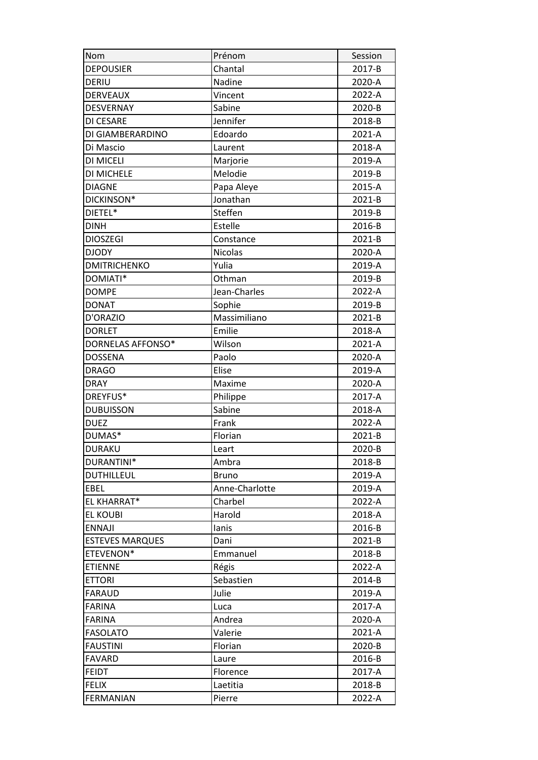| Nom                    | Prénom         | Session |
|------------------------|----------------|---------|
| <b>DEPOUSIER</b>       | Chantal        | 2017-B  |
| DERIU                  | Nadine         | 2020-A  |
| <b>DERVEAUX</b>        | Vincent        | 2022-A  |
| <b>DESVERNAY</b>       | Sabine         | 2020-B  |
| DI CESARE              | Jennifer       | 2018-B  |
| DI GIAMBERARDINO       | Edoardo        | 2021-A  |
| Di Mascio              | Laurent        | 2018-A  |
| DI MICELI              | Marjorie       | 2019-A  |
| DI MICHELE             | Melodie        | 2019-B  |
| <b>DIAGNE</b>          | Papa Aleye     | 2015-A  |
| DICKINSON*             | Jonathan       | 2021-B  |
| DIETEL*                | Steffen        | 2019-B  |
| <b>DINH</b>            | Estelle        | 2016-B  |
| <b>DIOSZEGI</b>        | Constance      | 2021-B  |
| <b>DJODY</b>           | <b>Nicolas</b> | 2020-A  |
| <b>DMITRICHENKO</b>    | Yulia          | 2019-A  |
| DOMIATI*               | Othman         | 2019-B  |
| <b>DOMPE</b>           | Jean-Charles   | 2022-A  |
| <b>DONAT</b>           | Sophie         | 2019-B  |
| D'ORAZIO               | Massimiliano   | 2021-B  |
| <b>DORLET</b>          | Emilie         | 2018-A  |
| DORNELAS AFFONSO*      | Wilson         | 2021-A  |
| <b>DOSSENA</b>         | Paolo          | 2020-A  |
| <b>DRAGO</b>           | Elise          | 2019-A  |
| <b>DRAY</b>            | Maxime         | 2020-A  |
| DREYFUS*               | Philippe       | 2017-A  |
| <b>DUBUISSON</b>       | Sabine         | 2018-A  |
| <b>DUEZ</b>            | Frank          | 2022-A  |
| DUMAS*                 | Florian        | 2021-B  |
| <b>DURAKU</b>          | Leart          | 2020-B  |
| DURANTINI*             | Ambra          | 2018-B  |
| DUTHILLEUL             | <b>Bruno</b>   | 2019-A  |
| EBEL                   | Anne-Charlotte | 2019-A  |
| EL KHARRAT*            | Charbel        | 2022-A  |
| <b>EL KOUBI</b>        | Harold         | 2018-A  |
| <b>ENNAJI</b>          | lanis          | 2016-B  |
| <b>ESTEVES MARQUES</b> | Dani           | 2021-B  |
| ETEVENON*              | Emmanuel       | 2018-B  |
| <b>ETIENNE</b>         | Régis          | 2022-A  |
| <b>ETTORI</b>          | Sebastien      | 2014-B  |
| <b>FARAUD</b>          | Julie          | 2019-A  |
| <b>FARINA</b>          | Luca           | 2017-A  |
| <b>FARINA</b>          | Andrea         | 2020-A  |
| <b>FASOLATO</b>        | Valerie        | 2021-A  |
| <b>FAUSTINI</b>        | Florian        | 2020-B  |
| <b>FAVARD</b>          | Laure          | 2016-B  |
| <b>FEIDT</b>           | Florence       | 2017-A  |
| <b>FELIX</b>           | Laetitia       | 2018-B  |
| <b>FERMANIAN</b>       | Pierre         | 2022-A  |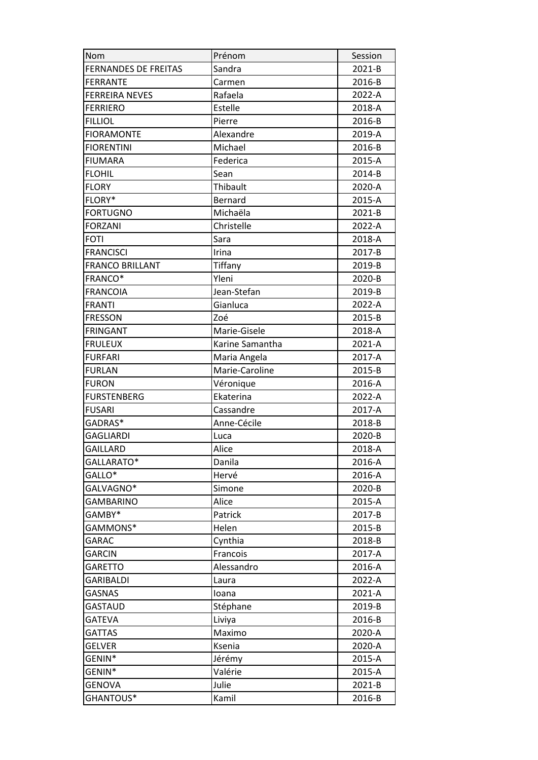| Nom                         | Prénom          | Session |
|-----------------------------|-----------------|---------|
| <b>FERNANDES DE FREITAS</b> | Sandra          | 2021-B  |
| <b>FERRANTE</b>             | Carmen          | 2016-B  |
| <b>FERREIRA NEVES</b>       | Rafaela         | 2022-A  |
| <b>FERRIERO</b>             | Estelle         | 2018-A  |
| <b>FILLIOL</b>              | Pierre          | 2016-B  |
| <b>FIORAMONTE</b>           | Alexandre       | 2019-A  |
| <b>FIORENTINI</b>           | Michael         | 2016-B  |
| <b>FIUMARA</b>              | Federica        | 2015-A  |
| <b>FLOHIL</b>               | Sean            | 2014-B  |
| <b>FLORY</b>                | Thibault        | 2020-A  |
| FLORY*                      | Bernard         | 2015-A  |
| <b>FORTUGNO</b>             | Michaëla        | 2021-B  |
| <b>FORZANI</b>              | Christelle      | 2022-A  |
| <b>FOTI</b>                 | Sara            | 2018-A  |
| <b>FRANCISCI</b>            | Irina           | 2017-B  |
| <b>FRANCO BRILLANT</b>      | Tiffany         | 2019-B  |
| FRANCO*                     | Yleni           | 2020-B  |
| <b>FRANCOIA</b>             | Jean-Stefan     | 2019-B  |
| <b>FRANTI</b>               | Gianluca        | 2022-A  |
| <b>FRESSON</b>              | Zoé             | 2015-B  |
| <b>FRINGANT</b>             | Marie-Gisele    | 2018-A  |
| <b>FRULEUX</b>              | Karine Samantha | 2021-A  |
| <b>FURFARI</b>              | Maria Angela    | 2017-A  |
| <b>FURLAN</b>               | Marie-Caroline  | 2015-B  |
| <b>FURON</b>                | Véronique       | 2016-A  |
| <b>FURSTENBERG</b>          | Ekaterina       | 2022-A  |
| <b>FUSARI</b>               | Cassandre       | 2017-A  |
| GADRAS*                     | Anne-Cécile     | 2018-B  |
| <b>GAGLIARDI</b>            | Luca            | 2020-B  |
| <b>GAILLARD</b>             | Alice           | 2018-A  |
| GALLARATO*                  | Danila          | 2016-A  |
| GALLO*                      | Hervé           | 2016-A  |
| GALVAGNO*                   | Simone          | 2020-B  |
| <b>GAMBARINO</b>            | Alice           | 2015-A  |
| GAMBY*                      | Patrick         | 2017-B  |
| GAMMONS*                    | Helen           | 2015-B  |
| GARAC                       | Cynthia         | 2018-B  |
| <b>GARCIN</b>               | Francois        | 2017-A  |
| <b>GARETTO</b>              | Alessandro      | 2016-A  |
| <b>GARIBALDI</b>            | Laura           | 2022-A  |
| <b>GASNAS</b>               | loana           | 2021-A  |
| <b>GASTAUD</b>              | Stéphane        | 2019-B  |
| <b>GATEVA</b>               | Liviya          | 2016-B  |
| <b>GATTAS</b>               | Maximo          | 2020-A  |
| <b>GELVER</b>               | Ksenia          | 2020-A  |
| GENIN*                      | Jérémy          | 2015-A  |
| GENIN*                      |                 |         |
|                             | Valérie         | 2015-A  |
| <b>GENOVA</b>               | Julie           | 2021-B  |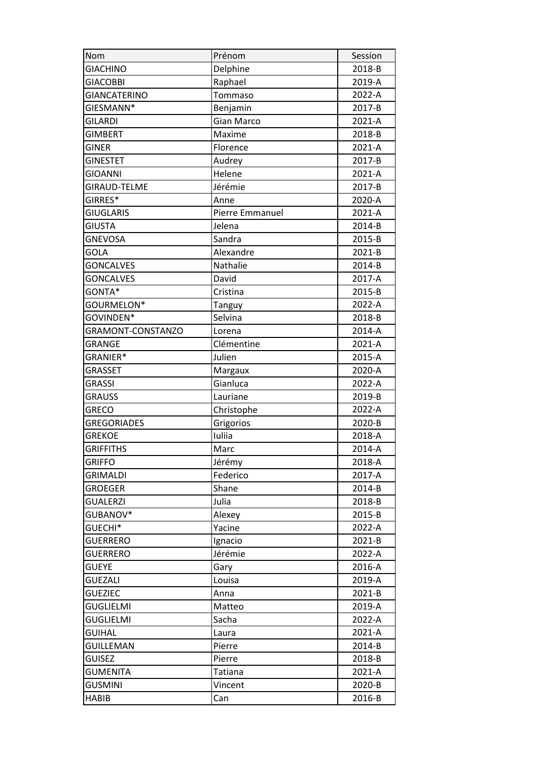| Nom                 | Prénom            | Session    |
|---------------------|-------------------|------------|
| <b>GIACHINO</b>     | Delphine          | 2018-B     |
| <b>GIACOBBI</b>     | Raphael           | 2019-A     |
| <b>GIANCATERINO</b> | Tommaso           | 2022-A     |
| GIESMANN*           | Benjamin          | 2017-B     |
| <b>GILARDI</b>      | <b>Gian Marco</b> | 2021-A     |
| <b>GIMBERT</b>      | Maxime            | 2018-B     |
| <b>GINER</b>        | Florence          | 2021-A     |
| <b>GINESTET</b>     | Audrey            | 2017-B     |
| <b>GIOANNI</b>      | Helene            | 2021-A     |
| <b>GIRAUD-TELME</b> | Jérémie           | 2017-B     |
| GIRRES*             | Anne              | 2020-A     |
| <b>GIUGLARIS</b>    | Pierre Emmanuel   | 2021-A     |
| <b>GIUSTA</b>       | Jelena            | 2014-B     |
| <b>GNEVOSA</b>      | Sandra            | 2015-B     |
| GOLA                | Alexandre         | 2021-B     |
| <b>GONCALVES</b>    | Nathalie          | 2014-B     |
| <b>GONCALVES</b>    | David             | 2017-A     |
| GONTA*              | Cristina          | 2015-B     |
| GOURMELON*          | Tanguy            | 2022-A     |
| GOVINDEN*           | Selvina           | 2018-B     |
| GRAMONT-CONSTANZO   | Lorena            | 2014-A     |
| <b>GRANGE</b>       | Clémentine        | 2021-A     |
| GRANIER*            | Julien            | 2015-A     |
| <b>GRASSET</b>      | Margaux           | 2020-A     |
| <b>GRASSI</b>       | Gianluca          | 2022-A     |
| <b>GRAUSS</b>       | Lauriane          | 2019-B     |
| <b>GRECO</b>        | Christophe        | 2022-A     |
| <b>GREGORIADES</b>  | Grigorios         | 2020-B     |
| <b>GREKOE</b>       | Iuliia            | 2018-A     |
| <b>GRIFFITHS</b>    | Marc              | 2014-A     |
| <b>GRIFFO</b>       | Jérémy            | 2018-A     |
| <b>GRIMALDI</b>     | Federico          | 2017-A     |
| <b>GROEGER</b>      | Shane             | $2014 - B$ |
| <b>GUALERZI</b>     | Julia             | 2018-B     |
| GUBANOV*            | Alexey            | 2015-B     |
| GUECHI*             | Yacine            | 2022-A     |
| <b>GUERRERO</b>     | Ignacio           | 2021-B     |
| <b>GUERRERO</b>     | Jérémie           | 2022-A     |
| <b>GUEYE</b>        | Gary              | 2016-A     |
| <b>GUEZALI</b>      | Louisa            | 2019-A     |
| <b>GUEZIEC</b>      | Anna              | 2021-B     |
| <b>GUGLIELMI</b>    | Matteo            | 2019-A     |
| <b>GUGLIELMI</b>    | Sacha             | 2022-A     |
| <b>GUIHAL</b>       | Laura             | 2021-A     |
| <b>GUILLEMAN</b>    | Pierre            | 2014-B     |
| <b>GUISEZ</b>       | Pierre            | 2018-B     |
| <b>GUMENITA</b>     | Tatiana           | 2021-A     |
| <b>GUSMINI</b>      | Vincent           | 2020-B     |
| <b>HABIB</b>        | Can               | 2016-B     |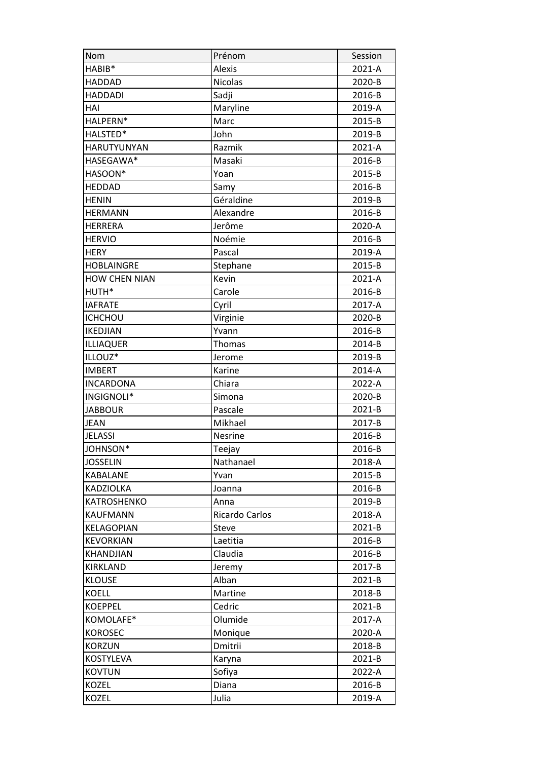| Nom                  | Prénom         | Session |
|----------------------|----------------|---------|
| HABIB*               | <b>Alexis</b>  | 2021-A  |
| HADDAD               | <b>Nicolas</b> | 2020-B  |
| <b>HADDADI</b>       | Sadji          | 2016-B  |
| HAI                  | Maryline       | 2019-A  |
| HALPERN*             | Marc           | 2015-B  |
| HALSTED*             | John           | 2019-B  |
| <b>HARUTYUNYAN</b>   | Razmik         | 2021-A  |
| HASEGAWA*            | Masaki         | 2016-B  |
| HASOON*              | Yoan           | 2015-B  |
| <b>HEDDAD</b>        | Samy           | 2016-B  |
| <b>HENIN</b>         | Géraldine      | 2019-B  |
| <b>HERMANN</b>       | Alexandre      | 2016-B  |
| <b>HERRERA</b>       | Jerôme         | 2020-A  |
| <b>HERVIO</b>        | Noémie         | 2016-B  |
| <b>HERY</b>          | Pascal         | 2019-A  |
| <b>HOBLAINGRE</b>    | Stephane       | 2015-B  |
| <b>HOW CHEN NIAN</b> | Kevin          | 2021-A  |
| HUTH*                | Carole         | 2016-B  |
| <b>IAFRATE</b>       | Cyril          | 2017-A  |
| <b>ICHCHOU</b>       | Virginie       | 2020-B  |
| <b>IKEDJIAN</b>      | Yvann          | 2016-B  |
| <b>ILLIAQUER</b>     | Thomas         | 2014-B  |
| ILLOUZ*              | Jerome         | 2019-B  |
| <b>IMBERT</b>        | Karine         | 2014-A  |
| <b>INCARDONA</b>     | Chiara         | 2022-A  |
| INGIGNOLI*           | Simona         | 2020-B  |
| <b>JABBOUR</b>       | Pascale        | 2021-B  |
| <b>JEAN</b>          | Mikhael        | 2017-B  |
| <b>JELASSI</b>       | Nesrine        | 2016-B  |
| JOHNSON*             | Teejay         | 2016-B  |
| <b>JOSSELIN</b>      | Nathanael      | 2018-A  |
| KABALANE             | Yvan           | 2015-B  |
| <b>KADZIOLKA</b>     | Joanna         | 2016-B  |
| KATROSHENKO          | Anna           | 2019-B  |
| <b>KAUFMANN</b>      | Ricardo Carlos | 2018-A  |
| KELAGOPIAN           | Steve          | 2021-B  |
| <b>KEVORKIAN</b>     | Laetitia       | 2016-B  |
| KHANDJIAN            | Claudia        | 2016-B  |
| <b>KIRKLAND</b>      | Jeremy         | 2017-B  |
| <b>KLOUSE</b>        | Alban          | 2021-B  |
| <b>KOELL</b>         | Martine        | 2018-B  |
| <b>KOEPPEL</b>       | Cedric         | 2021-B  |
| KOMOLAFE*            | Olumide        | 2017-A  |
| <b>KOROSEC</b>       | Monique        | 2020-A  |
| <b>KORZUN</b>        | Dmitrii        | 2018-B  |
| <b>KOSTYLEVA</b>     | Karyna         | 2021-B  |
| <b>KOVTUN</b>        | Sofiya         | 2022-A  |
| <b>KOZEL</b>         | Diana          | 2016-B  |
| KOZEL                | Julia          | 2019-A  |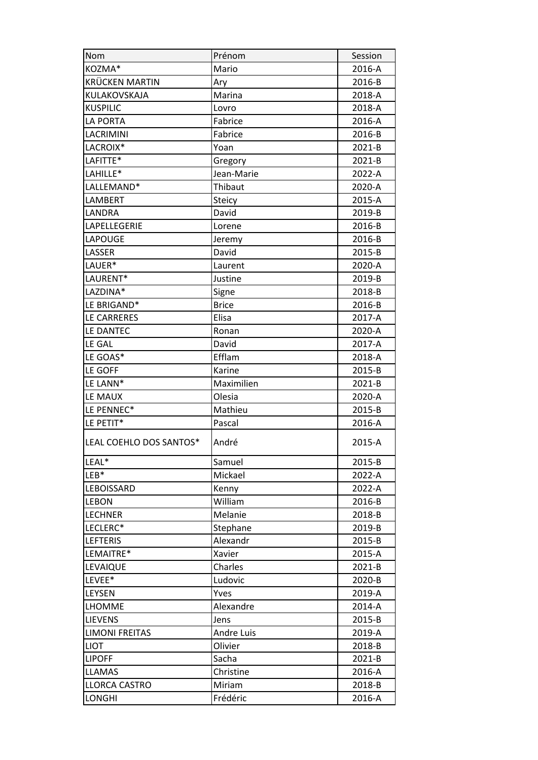| Nom                     | Prénom            | Session |
|-------------------------|-------------------|---------|
| KOZMA*                  | Mario             | 2016-A  |
| <b>KRÜCKEN MARTIN</b>   | Ary               | 2016-B  |
| KULAKOVSKAJA            | Marina            | 2018-A  |
| <b>KUSPILIC</b>         | Lovro             | 2018-A  |
| <b>LA PORTA</b>         | Fabrice           | 2016-A  |
| LACRIMINI               | Fabrice           | 2016-B  |
| LACROIX*                | Yoan              | 2021-B  |
| LAFITTE*                | Gregory           | 2021-B  |
| LAHILLE*                | Jean-Marie        | 2022-A  |
| LALLEMAND*              | Thibaut           | 2020-A  |
| LAMBERT                 | Steicy            | 2015-A  |
| LANDRA                  | David             | 2019-B  |
| LAPELLEGERIE            | Lorene            | 2016-B  |
| LAPOUGE                 | Jeremy            | 2016-B  |
| LASSER                  | David             | 2015-B  |
| LAUER*                  | Laurent           | 2020-A  |
| LAURENT*                | Justine           | 2019-B  |
| LAZDINA*                | Signe             | 2018-B  |
| LE BRIGAND*             | <b>Brice</b>      | 2016-B  |
| LE CARRERES             | Elisa             | 2017-A  |
| LE DANTEC               | Ronan             | 2020-A  |
| LE GAL                  | David             | 2017-A  |
| LE GOAS*                | Efflam            | 2018-A  |
| LE GOFF                 | Karine            | 2015-B  |
| LE LANN*                | Maximilien        | 2021-B  |
| LE MAUX                 | Olesia            | 2020-A  |
| LE PENNEC*              | Mathieu           | 2015-B  |
| LE PETIT*               | Pascal            | 2016-A  |
| LEAL COEHLO DOS SANTOS* | André             | 2015-A  |
| LEAL*                   | Samuel            | 2015-B  |
| $LEB*$                  | Mickael           | 2022-A  |
| <b>LEBOISSARD</b>       | Kenny             | 2022-A  |
| <b>LEBON</b>            | William           | 2016-B  |
| <b>LECHNER</b>          | Melanie           | 2018-B  |
| LECLERC*                | Stephane          | 2019-B  |
| <b>LEFTERIS</b>         | Alexandr          | 2015-B  |
| LEMAITRE*               | Xavier            | 2015-A  |
| LEVAIQUE                | Charles           | 2021-B  |
| LEVEE*                  | Ludovic           | 2020-B  |
| LEYSEN                  | Yves              | 2019-A  |
| <b>LHOMME</b>           | Alexandre         | 2014-A  |
| <b>LIEVENS</b>          | Jens              | 2015-B  |
| <b>LIMONI FREITAS</b>   | <b>Andre Luis</b> | 2019-A  |
| <b>LIOT</b>             | Olivier           | 2018-B  |
|                         |                   |         |
| <b>LIPOFF</b>           | Sacha             | 2021-B  |
| <b>LLAMAS</b>           | Christine         | 2016-A  |
| <b>LLORCA CASTRO</b>    | Miriam            | 2018-B  |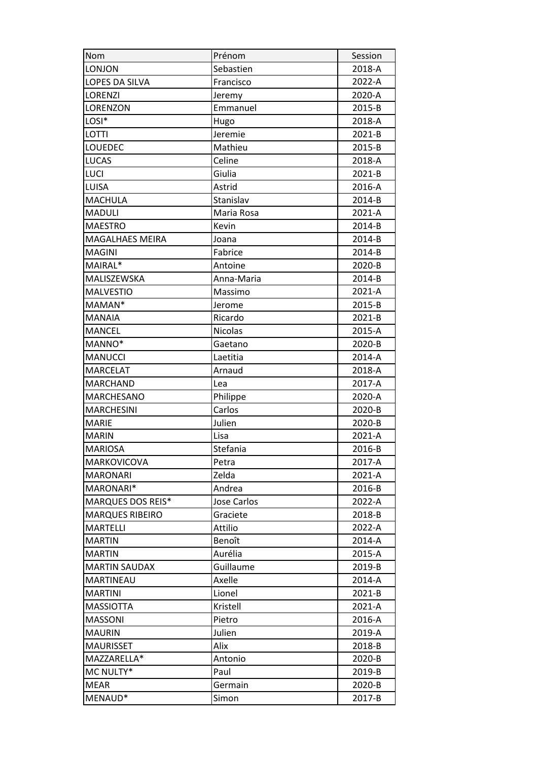| Nom                      | Prénom             | Session |
|--------------------------|--------------------|---------|
| <b>LONJON</b>            | Sebastien          | 2018-A  |
| <b>LOPES DA SILVA</b>    | Francisco          | 2022-A  |
| <b>LORENZI</b>           | Jeremy             | 2020-A  |
| <b>LORENZON</b>          | Emmanuel           | 2015-B  |
| LOSI*                    | Hugo               | 2018-A  |
| LOTTI                    | Jeremie            | 2021-B  |
| LOUEDEC                  | Mathieu            | 2015-B  |
| <b>LUCAS</b>             | Celine             | 2018-A  |
| LUCI                     | Giulia             | 2021-B  |
| <b>LUISA</b>             | Astrid             | 2016-A  |
| <b>MACHULA</b>           | Stanislav          | 2014-B  |
| <b>MADULI</b>            | Maria Rosa         | 2021-A  |
| <b>MAESTRO</b>           | Kevin              | 2014-B  |
| <b>MAGALHAES MEIRA</b>   | Joana              | 2014-B  |
| <b>MAGINI</b>            | Fabrice            | 2014-B  |
| MAIRAL*                  | Antoine            | 2020-B  |
| MALISZEWSKA              | Anna-Maria         | 2014-B  |
| <b>MALVESTIO</b>         | Massimo            | 2021-A  |
| MAMAN*                   | Jerome             | 2015-B  |
| <b>MANAIA</b>            | Ricardo            | 2021-B  |
| <b>MANCEL</b>            | <b>Nicolas</b>     | 2015-A  |
| MANNO*                   | Gaetano            | 2020-B  |
| <b>MANUCCI</b>           | Laetitia           | 2014-A  |
| <b>MARCELAT</b>          | Arnaud             | 2018-A  |
|                          |                    |         |
| <b>MARCHAND</b>          | Lea                | 2017-A  |
| <b>MARCHESANO</b>        | Philippe           | 2020-A  |
| <b>MARCHESINI</b>        | Carlos             | 2020-B  |
| <b>MARIE</b>             | Julien             | 2020-B  |
| <b>MARIN</b>             | Lisa               | 2021-A  |
| <b>MARIOSA</b>           | Stefania           | 2016-B  |
| MARKOVICOVA              | Petra              | 2017-A  |
| <b>MARONARI</b>          | Zelda              | 2021-A  |
| MARONARI*                | Andrea             | 2016-B  |
| <b>MARQUES DOS REIS*</b> | <b>Jose Carlos</b> | 2022-A  |
| <b>MARQUES RIBEIRO</b>   | Graciete           | 2018-B  |
| <b>MARTELLI</b>          | Attilio            | 2022-A  |
| <b>MARTIN</b>            | Benoît             | 2014-A  |
| <b>MARTIN</b>            | Aurélia            | 2015-A  |
| <b>MARTIN SAUDAX</b>     | Guillaume          | 2019-B  |
| <b>MARTINEAU</b>         | Axelle             | 2014-A  |
| <b>MARTINI</b>           | Lionel             | 2021-B  |
| <b>MASSIOTTA</b>         | Kristell           | 2021-A  |
| <b>MASSONI</b>           | Pietro             | 2016-A  |
| <b>MAURIN</b>            | Julien             | 2019-A  |
| <b>MAURISSET</b>         | Alix               | 2018-B  |
| MAZZARELLA*              | Antonio            | 2020-B  |
| MC NULTY*                | Paul               | 2019-B  |
| <b>MEAR</b><br>MENAUD*   | Germain<br>Simon   | 2020-B  |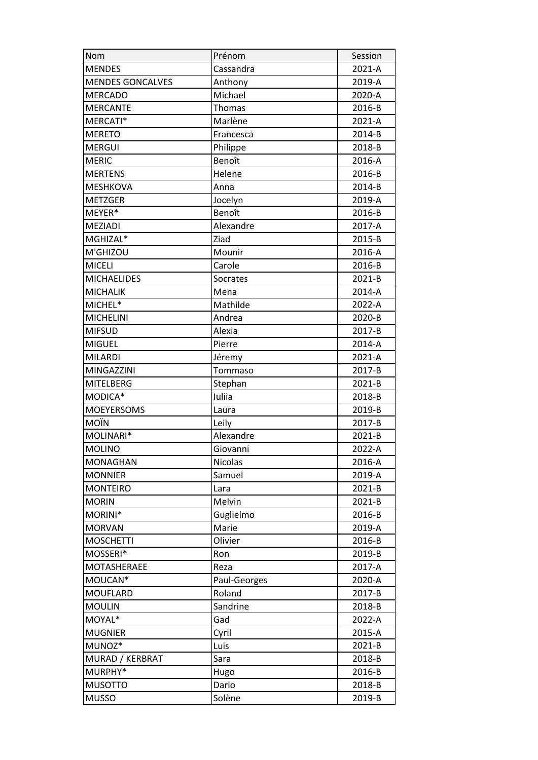| Nom                     | Prénom       | Session |
|-------------------------|--------------|---------|
| <b>MENDES</b>           | Cassandra    | 2021-A  |
| <b>MENDES GONCALVES</b> | Anthony      | 2019-A  |
| <b>MERCADO</b>          | Michael      | 2020-A  |
| <b>MERCANTE</b>         | Thomas       | 2016-B  |
| MERCATI*                | Marlène      | 2021-A  |
| <b>MERETO</b>           | Francesca    | 2014-B  |
| <b>MERGUI</b>           | Philippe     | 2018-B  |
| <b>MERIC</b>            | Benoît       | 2016-A  |
| <b>MERTENS</b>          | Helene       | 2016-B  |
| <b>MESHKOVA</b>         | Anna         | 2014-B  |
| <b>METZGER</b>          | Jocelyn      | 2019-A  |
| MEYER*                  | Benoît       | 2016-B  |
| <b>MEZIADI</b>          | Alexandre    | 2017-A  |
| MGHIZAL*                | Ziad         | 2015-B  |
| M'GHIZOU                | Mounir       | 2016-A  |
| <b>MICELI</b>           | Carole       | 2016-B  |
| <b>MICHAELIDES</b>      | Socrates     | 2021-B  |
| <b>MICHALIK</b>         | Mena         | 2014-A  |
| MICHEL*                 | Mathilde     | 2022-A  |
| <b>MICHELINI</b>        | Andrea       | 2020-B  |
| <b>MIFSUD</b>           | Alexia       | 2017-B  |
| <b>MIGUEL</b>           | Pierre       | 2014-A  |
| <b>MILARDI</b>          | Jéremy       | 2021-A  |
| <b>MINGAZZINI</b>       | Tommaso      | 2017-B  |
| <b>MITELBERG</b>        | Stephan      | 2021-B  |
| MODICA*                 | Iuliia       | 2018-B  |
| <b>MOEYERSOMS</b>       | Laura        | 2019-B  |
| <b>MOÏN</b>             | Leily        | 2017-B  |
| MOLINARI*               | Alexandre    | 2021-B  |
| <b>MOLINO</b>           | Giovanni     | 2022-A  |
| <b>MONAGHAN</b>         | Nicolas      | 2016-A  |
| <b>MONNIER</b>          | Samuel       | 2019-A  |
| <b>MONTEIRO</b>         | Lara         | 2021-B  |
| <b>MORIN</b>            | Melvin       | 2021-B  |
| MORINI*                 | Guglielmo    | 2016-B  |
| <b>MORVAN</b>           | Marie        | 2019-A  |
| <b>MOSCHETTI</b>        | Olivier      | 2016-B  |
| MOSSERI*                | Ron          | 2019-B  |
| MOTASHERAEE             | Reza         | 2017-A  |
| MOUCAN*                 | Paul-Georges | 2020-A  |
| <b>MOUFLARD</b>         | Roland       | 2017-B  |
| <b>MOULIN</b>           | Sandrine     | 2018-B  |
| MOYAL*                  | Gad          | 2022-A  |
| <b>MUGNIER</b>          | Cyril        | 2015-A  |
| MUNOZ*                  | Luis         | 2021-B  |
| MURAD / KERBRAT         | Sara         | 2018-B  |
| MURPHY*                 | Hugo         | 2016-B  |
| <b>MUSOTTO</b>          | Dario        | 2018-B  |
| <b>MUSSO</b>            | Solène       | 2019-B  |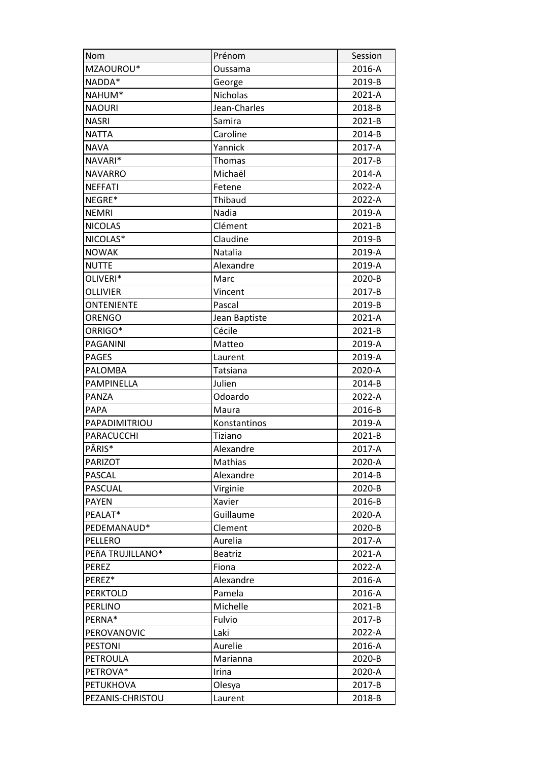| Nom              | Prénom         | Session    |
|------------------|----------------|------------|
| MZAOUROU*        | Oussama        | 2016-A     |
| NADDA*           | George         | 2019-B     |
| NAHUM*           | Nicholas       | 2021-A     |
| <b>NAOURI</b>    | Jean-Charles   | 2018-B     |
| <b>NASRI</b>     | Samira         | $2021 - B$ |
| NATTA            | Caroline       | 2014-B     |
| <b>NAVA</b>      | Yannick        | 2017-A     |
| NAVARI*          | Thomas         | 2017-B     |
| <b>NAVARRO</b>   | Michaël        | 2014-A     |
| <b>NEFFATI</b>   | Fetene         | 2022-A     |
| NEGRE*           | Thibaud        | 2022-A     |
| <b>NEMRI</b>     | Nadia          | 2019-A     |
| <b>NICOLAS</b>   | Clément        | 2021-B     |
| NICOLAS*         | Claudine       | 2019-B     |
| <b>NOWAK</b>     | Natalia        | 2019-A     |
| <b>NUTTE</b>     | Alexandre      | 2019-A     |
| OLIVERI*         | Marc           | 2020-B     |
| OLLIVIER         | Vincent        | 2017-B     |
| ONTENIENTE       | Pascal         | 2019-B     |
| <b>ORENGO</b>    | Jean Baptiste  | 2021-A     |
| ORRIGO*          | Cécile         | 2021-B     |
| PAGANINI         | Matteo         | 2019-A     |
| <b>PAGES</b>     | Laurent        | 2019-A     |
| PALOMBA          | Tatsiana       | 2020-A     |
| PAMPINELLA       | Julien         | 2014-B     |
| PANZA            | Odoardo        | 2022-A     |
| <b>PAPA</b>      | Maura          | 2016-B     |
| PAPADIMITRIOU    | Konstantinos   | 2019-A     |
| PARACUCCHI       | Tiziano        | 2021-B     |
| PÂRIS*           | Alexandre      | 2017-A     |
| <b>PARIZOT</b>   | Mathias        | 2020-A     |
| PASCAL           | Alexandre      | 2014-B     |
| <b>PASCUAL</b>   | Virginie       | 2020-B     |
| <b>PAYEN</b>     | Xavier         | 2016-B     |
| PEALAT*          | Guillaume      | 2020-A     |
| PEDEMANAUD*      | Clement        | 2020-B     |
| PELLERO          | Aurelia        | 2017-A     |
| PEñA TRUJILLANO* | <b>Beatriz</b> | 2021-A     |
| <b>PEREZ</b>     | Fiona          | 2022-A     |
| PEREZ*           | Alexandre      | 2016-A     |
| <b>PERKTOLD</b>  | Pamela         | 2016-A     |
| PERLINO          | Michelle       | 2021-B     |
| PERNA*           | Fulvio         | 2017-B     |
| PEROVANOVIC      | Laki           | 2022-A     |
| <b>PESTONI</b>   | Aurelie        | 2016-A     |
| PETROULA         | Marianna       | 2020-B     |
| PETROVA*         | Irina          | 2020-A     |
| <b>PETUKHOVA</b> | Olesya         | 2017-B     |
| PEZANIS-CHRISTOU | Laurent        | 2018-B     |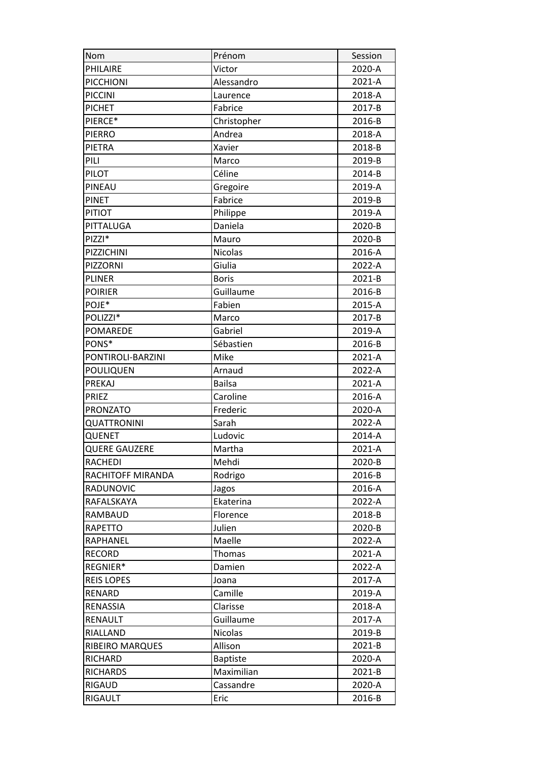| Nom                  | Prénom          | Session |
|----------------------|-----------------|---------|
| PHILAIRE             | Victor          | 2020-A  |
| <b>PICCHIONI</b>     | Alessandro      | 2021-A  |
| <b>PICCINI</b>       | Laurence        | 2018-A  |
| <b>PICHET</b>        | Fabrice         | 2017-B  |
| PIERCE*              | Christopher     | 2016-B  |
| <b>PIERRO</b>        | Andrea          | 2018-A  |
| PIETRA               | Xavier          | 2018-B  |
| PILI                 | Marco           | 2019-B  |
| PILOT                | Céline          | 2014-B  |
| PINEAU               | Gregoire        | 2019-A  |
| <b>PINET</b>         | Fabrice         | 2019-B  |
| <b>PITIOT</b>        | Philippe        | 2019-A  |
| PITTALUGA            | Daniela         | 2020-B  |
| PIZZI*               | Mauro           | 2020-B  |
| PIZZICHINI           | <b>Nicolas</b>  | 2016-A  |
| PIZZORNI             | Giulia          | 2022-A  |
| <b>PLINER</b>        | <b>Boris</b>    | 2021-B  |
| <b>POIRIER</b>       | Guillaume       | 2016-B  |
| POJE*                | Fabien          | 2015-A  |
| POLIZZI*             | Marco           | 2017-B  |
| POMAREDE             | Gabriel         | 2019-A  |
| PONS*                | Sébastien       | 2016-B  |
| PONTIROLI-BARZINI    | Mike            | 2021-A  |
| <b>POULIQUEN</b>     | Arnaud          | 2022-A  |
|                      |                 | 2021-A  |
| PREKAJ               | <b>Bailsa</b>   |         |
| <b>PRIEZ</b>         | Caroline        | 2016-A  |
| <b>PRONZATO</b>      | Frederic        | 2020-A  |
| <b>QUATTRONINI</b>   | Sarah           | 2022-A  |
| QUENET               | Ludovic         | 2014-A  |
| <b>QUERE GAUZERE</b> | Martha          | 2021-A  |
| <b>RACHEDI</b>       | Mehdi           | 2020-B  |
| RACHITOFF MIRANDA    | Rodrigo         | 2016-B  |
| RADUNOVIC            | Jagos           | 2016-A  |
| RAFALSKAYA           | Ekaterina       | 2022-A  |
| RAMBAUD              | Florence        | 2018-B  |
| <b>RAPETTO</b>       | Julien          | 2020-B  |
| RAPHANEL             | Maelle          | 2022-A  |
| <b>RECORD</b>        | Thomas          | 2021-A  |
| REGNIER*             | Damien          | 2022-A  |
| <b>REIS LOPES</b>    | Joana           | 2017-A  |
| RENARD               | Camille         | 2019-A  |
| RENASSIA             | Clarisse        | 2018-A  |
| RENAULT              | Guillaume       | 2017-A  |
| RIALLAND             | <b>Nicolas</b>  | 2019-B  |
| RIBEIRO MARQUES      | Allison         | 2021-B  |
| RICHARD              | <b>Baptiste</b> | 2020-A  |
| <b>RICHARDS</b>      | Maximilian      | 2021-B  |
| RIGAUD               | Cassandre       | 2020-A  |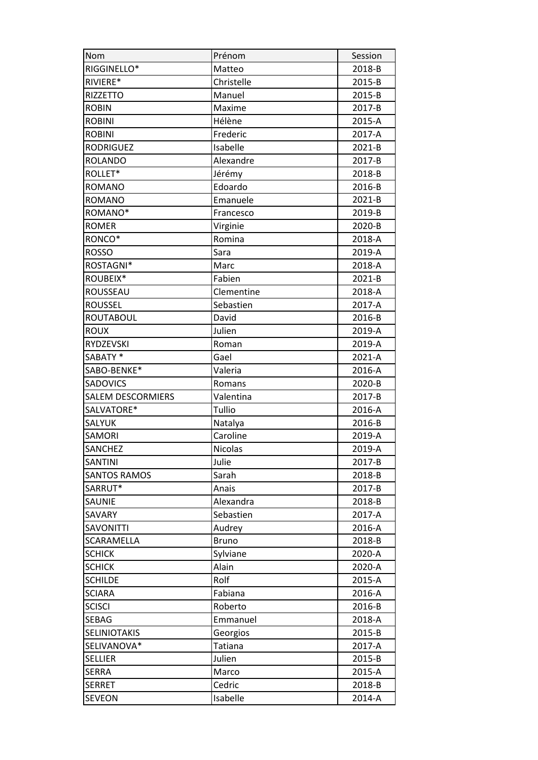| Nom                      | Prénom         | Session |
|--------------------------|----------------|---------|
| RIGGINELLO*              | Matteo         | 2018-B  |
| RIVIERE*                 | Christelle     | 2015-B  |
| <b>RIZZETTO</b>          | Manuel         | 2015-B  |
| <b>ROBIN</b>             | Maxime         | 2017-B  |
| <b>ROBINI</b>            | Hélène         | 2015-A  |
| <b>ROBINI</b>            | Frederic       | 2017-A  |
| <b>RODRIGUEZ</b>         | Isabelle       | 2021-B  |
| <b>ROLANDO</b>           | Alexandre      | 2017-B  |
| ROLLET*                  | Jérémy         | 2018-B  |
| <b>ROMANO</b>            | Edoardo        | 2016-B  |
| <b>ROMANO</b>            | Emanuele       | 2021-B  |
| ROMANO*                  | Francesco      | 2019-B  |
| <b>ROMER</b>             | Virginie       | 2020-B  |
| RONCO*                   | Romina         | 2018-A  |
| <b>ROSSO</b>             | Sara           | 2019-A  |
| ROSTAGNI*                | Marc           | 2018-A  |
| ROUBEIX*                 | Fabien         | 2021-B  |
| ROUSSEAU                 | Clementine     | 2018-A  |
| <b>ROUSSEL</b>           | Sebastien      | 2017-A  |
| <b>ROUTABOUL</b>         | David          | 2016-B  |
| <b>ROUX</b>              | Julien         | 2019-A  |
| RYDZEVSKI                | Roman          | 2019-A  |
| SABATY*                  | Gael           | 2021-A  |
| SABO-BENKE*              | Valeria        | 2016-A  |
| <b>SADOVICS</b>          | Romans         | 2020-B  |
|                          |                |         |
| <b>SALEM DESCORMIERS</b> | Valentina      | 2017-B  |
| SALVATORE*               | Tullio         | 2016-A  |
| <b>SALYUK</b>            | Natalya        | 2016-B  |
| <b>SAMORI</b>            | Caroline       | 2019-A  |
| <b>SANCHEZ</b>           | <b>Nicolas</b> | 2019-A  |
| <b>SANTINI</b>           | Julie          | 2017-B  |
| <b>SANTOS RAMOS</b>      | Sarah          | 2018-B  |
| SARRUT*                  | Anais          | 2017-B  |
| SAUNIE                   | Alexandra      | 2018-B  |
| SAVARY                   | Sebastien      | 2017-A  |
| <b>SAVONITTI</b>         | Audrey         | 2016-A  |
| <b>SCARAMELLA</b>        | <b>Bruno</b>   | 2018-B  |
| <b>SCHICK</b>            | Sylviane       | 2020-A  |
| <b>SCHICK</b>            | Alain          | 2020-A  |
| <b>SCHILDE</b>           | Rolf           | 2015-A  |
| <b>SCIARA</b>            | Fabiana        | 2016-A  |
| <b>SCISCI</b>            | Roberto        | 2016-B  |
| <b>SEBAG</b>             | Emmanuel       | 2018-A  |
| <b>SELINIOTAKIS</b>      | Georgios       | 2015-B  |
| SELIVANOVA*              | Tatiana        | 2017-A  |
| <b>SELLIER</b>           | Julien         | 2015-B  |
| <b>SERRA</b>             | Marco          | 2015-A  |
| <b>SERRET</b>            | Cedric         | 2018-B  |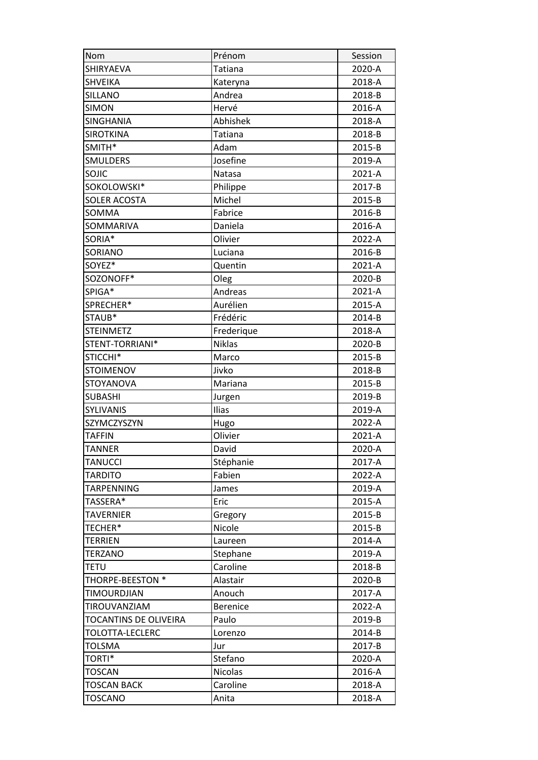| Nom                   | Prénom          | Session |
|-----------------------|-----------------|---------|
| SHIRYAEVA             | Tatiana         | 2020-A  |
| <b>SHVEIKA</b>        | Kateryna        | 2018-A  |
| <b>SILLANO</b>        | Andrea          | 2018-B  |
| <b>SIMON</b>          | Hervé           | 2016-A  |
| SINGHANIA             | Abhishek        | 2018-A  |
| <b>SIROTKINA</b>      | Tatiana         | 2018-B  |
| SMITH*                | Adam            | 2015-B  |
| <b>SMULDERS</b>       | Josefine        | 2019-A  |
| SOJIC                 | Natasa          | 2021-A  |
| SOKOLOWSKI*           | Philippe        | 2017-B  |
| <b>SOLER ACOSTA</b>   | Michel          | 2015-B  |
| SOMMA                 | Fabrice         | 2016-B  |
| SOMMARIVA             | Daniela         | 2016-A  |
| SORIA*                | Olivier         | 2022-A  |
| SORIANO               | Luciana         | 2016-B  |
| SOYEZ*                | Quentin         | 2021-A  |
| SOZONOFF*             | Oleg            | 2020-B  |
| SPIGA*                | Andreas         | 2021-A  |
| SPRECHER*             | Aurélien        | 2015-A  |
| STAUB*                | Frédéric        | 2014-B  |
| <b>STEINMETZ</b>      | Frederique      | 2018-A  |
| STENT-TORRIANI*       | <b>Niklas</b>   | 2020-B  |
| STICCHI*              | Marco           | 2015-B  |
| <b>STOIMENOV</b>      | Jivko           | 2018-B  |
| <b>STOYANOVA</b>      | Mariana         | 2015-B  |
| <b>SUBASHI</b>        | Jurgen          | 2019-B  |
| <b>SYLIVANIS</b>      | Ilias           | 2019-A  |
| SZYMCZYSZYN           | Hugo            | 2022-A  |
| <b>TAFFIN</b>         | Olivier         | 2021-A  |
| <b>TANNER</b>         | David           | 2020-A  |
| <b>TANUCCI</b>        | Stéphanie       | 2017-A  |
| <b>TARDITO</b>        | Fabien          | 2022-A  |
| TARPENNING            | James           | 2019-A  |
| TASSERA*              | Eric            | 2015-A  |
| <b>TAVERNIER</b>      | Gregory         | 2015-B  |
| TECHER*               | Nicole          | 2015-B  |
| <b>TERRIEN</b>        | Laureen         | 2014-A  |
| <b>TERZANO</b>        | Stephane        | 2019-A  |
| <b>TETU</b>           | Caroline        | 2018-B  |
| THORPE-BEESTON *      | Alastair        | 2020-B  |
| <b>TIMOURDJIAN</b>    | Anouch          | 2017-A  |
| TIROUVANZIAM          | <b>Berenice</b> | 2022-A  |
| TOCANTINS DE OLIVEIRA | Paulo           | 2019-B  |
| TOLOTTA-LECLERC       | Lorenzo         | 2014-B  |
| TOLSMA                | Jur             | 2017-B  |
| TORTI*                | Stefano         | 2020-A  |
| <b>TOSCAN</b>         | <b>Nicolas</b>  | 2016-A  |
| <b>TOSCAN BACK</b>    | Caroline        | 2018-A  |
| <b>TOSCANO</b>        | Anita           | 2018-A  |